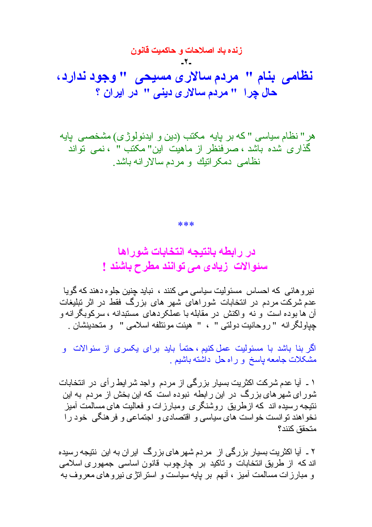هر " نظام سیاسی " که بر پایه مکتب (دین و ایدئولوژی) مشخصـی پایه گذاری شده باشد ، صرفنظر از ماهیت این" مکتب " ، نمی تواند نظامی دمکر انبِك و مر دم سالار انه باشد ِ

\*\*\*

در ر ابطه بانتبجه انتخابات شور اها سئوالات زیادی می توانند مطرح باشند !

نیر و هائی که احساس مسئولیت سیاسی می کنند ، نباید جنین جلو ه دهند که گویا عدم شرکت مردم در انتخابات شور اهای شهر های بزرگ فقط در اثر تبلیغات آن ها بوده است و نه واکنش در مقابله با عملکردهای مستبدانه ، سرکوبگرانه و جباو لگر انه " ر و حانيت دو لتي " ، " هيئت مو ئنلفه اسلامي " و متحدينشان ِ

اگر بنا باشد با مسئولیت ع*مل کنیم ، حتمأ باید بر ای یکسر ی از سئو الات* و مشکلات جامعه پاسخ و راه حل داشته باشیم <sub>.</sub>

۱ ۔ آیا عدم شرکت اکثریت بسیار بزرگی از مردم واجد شرایط رای در انتخابات شور ای شهر های بز ر گ در این ر ابطه نبوده است که این بخش از مر دم به این نتیجه رسیده اند که ازطریق روشنگری ومبارزات و فعالیت های مسالمت آمیز نخواهند نوانست خواست های سیاسی و اقتصادی و اجتماعی و فرهنگی خود را متحقق كنند؟

۲ ۔ آیا اکثریت بسیار بزرگی از مردم شهر های بزرگ ایر ان به این نتیجه رسیده اند که از طریق انتخابات و ناکید بر چارچوب قانون اساسی جمهوری اسلامی و مبار ز ات مسالمت آمیز ، آنهم بر بابه سیاست و استر انز ی نیر و های معر و ف به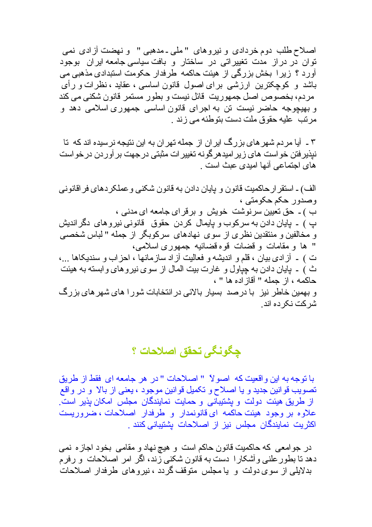اصلاح طلب دوم خر دادي و نير و هاي "ملي ـ مدهبي " و نهضت آز ادي نمي توان در در از ِ مدت تغییر اتبی در ِ ساختار و بافت سیاسی جامعه ایر ان ِ بوجود آور د ؟ زیر ا بخش بز رگے از هیئت حاکمه طرفدار حکومت استبدادی مذهبی می باشد و کوچکترین ارزشی برای اصول قانون اساسی ، عقاید ، نظرات و رأی مر دم، بخصوص اصل جمهور بِت قائل نیست و بطور ِ مستمر ِ قانون شکنی می کند و بھیچوجه حاضر نیست تن به اجرای قانون اساسی جمهوری اسلامی دهد و مر نب عليه حقوق ملت دست بنوطئه مي زند .

۳ ۔ آیا مردم شهر های بزرگ ایر ان از جمله تهر ان به این نتیجه نرسیده اند که تا نبذیر فتن خو است های زیر امیدهر گونه تغییر ات مثبتی در جهت بر آور دن در خو است های اجتماعی آنها امیدی عبث است .

الف) ـ استقر ار حاكميت قانون و بايان دادن به قانون شكني و عملكر دهاي فر اقانوني وصدور حکم حکومتی ، ب ) ـ حق نعیین سر نوشت خویش و بر قرای جامعه ای مدنی ، ب ) ۔ بابان دادن به سر کو ب و بابمال کر دن حقوق قانو نے نیر و ھای دگر اندیش و مخالفین و منتقدین نظری از سوی نهادهای سرکوبگر از جمله " لباس شخصی " ها و مقامات و قضات قوم قضائبه جمهوري اسلامي، ت ) \_ آز ادى بيان ، قلم و انديشه و فعاليت آز اد ساز مانها ، احز اب و سنديكاها ...، ث ) ۔ پایان دادن به چیاول و غارت بیت المال از سوی نیروهای و ابسته به هیئت حاكمه ، از جمله " أقاز اده ها " ، و بهمین خاطر نیز با در صد بسیار بالائی در انتخابات شور ا های شهر های بزرگ شر كت نكر ده اند ِ

چگونگی تحقق اصلاحات ؟

با توجه به اين واقعيت كه اصولاً " اصلاحات " در هر جامعه اي فقط از طريق تصويب قوانين جديد و يا اصلاح و تكميل قوانين موجود ، يعني از بالا و در واقع از طریق هیئت دولت و بشتیبانی و حمایت نمایندگان مجلس امکان بذیر است. علاو ه بر وجود هيئت حاكمه اي قانونمدار و طرفدار اصلاحات ، ضرور بست اکثریت نمایندگان مجلس نیز از اصلاحات بشتیبانی کنند .

در جوامعي كه حاكميت قانون حاكم است و هيچ نهاد و مقامي بخود اجاز ه نمي دهد تا بطور علنی و أشکار ا دست به قانون شکنی زند، اگر امر اصلاحات و رفرم بدلایلی از سوی دولت و یا مجلس متوقف گردد ، نیروهای طرفدار اصلاحات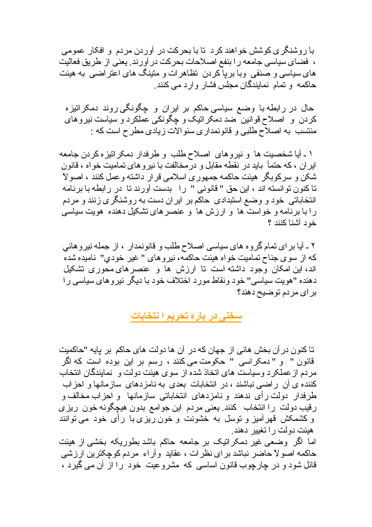با ر و شنگر ی کو شش خو اهند کر د تا با بحر کت در آور دن مر دم و افکار عمومی ، فضاى سياسي جامعه را بنفع اصلاحات بحركت در أورند بعني از طريق فعاليت های سیاسی و صنفی وبا بر با کر دن تظاهر ات و متینگ های اعتر اضبی به هیئت حاکمه و تمام نمابندگان مجلس فشار وارد می کنند.

حال در رابطه با وضع سیاسی حاکم بر ایران و چگونگی روند دمکرانیزه کردن و اصلاح قوانین ضد دمکراتیک و چگونکی عملکرد و سیاست نیروهای منتسب به اصلاح طلبي و قانونمداري سئوالات زيادي مطرح است كه :

۱ ـ آیا شخصیت ها و نیروهای اصلاح طلب و طرفدار دمکر انیز ه کردن جامعه ایر ان ، که حتمأ باید در نقطـه مقابل و در مخالفت با نیر و های نمامیت خو اه ، قانون شکن و سرکوبگر ِ هیئت حاکمه جمهور ی اسلامی قر ار داشته و عمل کنند ، اصولاً تاكنون توانسته اند ، این حق " قانونی " را بدست آورند تا در ر ابطه با برنامه انتخاباتی خود و وضع استبدادی حاکم بر ایران دست به روشنگری زنند و مردم ر ا با بر نامه و خواست ها و ارزش ها و عنصر های نشکیل دهنده هویت سیاسی خود آشنا كنند ؟

٢ ـ آيا بر اي نمام گروه هاي سياسي اصلاح طلب و قانونمدار ، از جمله نيروهائي كه از سوی جناح نمامیت خواه هیئت حاكمه، نیر و های " غیر خودی" نامیده شده اند، این امکان وجود داشته است تا ارزش ها و عنصرهای محوری تشکیل دهنده "هويت سياسي" خود ونقاط مورد اختلاف خود با ديگر نير و هاي سياسي را براي مردم توضيح دهند؟

سخنی در باره تحریم ا نتخابات

تا كنو ن در آن بخش هائي از جهان كه در آن ها دو لت هاي حاكم بر پايه "حاكميت قانون " و "دمكراسي " حكومت مي كنند ، رسم بر اين بوده است كه اگر مر دم از عملکر د و سیاست های اتخاذ شده از سو ی هیئت دو لت و نمایندگان انتخاب کننده ی آن ر اضبی نباشند ، در انتخابات بعدی به نامز دهای ساز مانها و احز اب طرفدار دولت رأى ندهند و نامزدهاى انتخاباتي سازمانها و احزاب مخالف و رقیب دولت را انتخاب کنند یعنی مردم این جوامع بدون هیچگونه خون ریزی و کشمکش قهرآمیز و توسل به خشونت و خون ریزی با رأی خود می توانند هبئت دو لت ر ا تغببر آدهند .

اما اگر وضعی غیر دمکرانیک بر جامعه حاکم باشد بطوریکه بخشی از هیئت حاكمه اصولاً حاضر نباشد براي نظرات ، عقايد وأراء مردم كوچكترين ارزشي قائل شود و در چارچوب قانون اساسی که مشروعیت خود را از آن می گیرد ،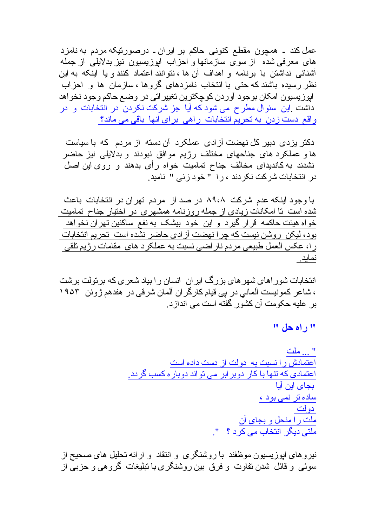عمل کند ۔ همچون مقطع کنونے، حاکم بر ابران۔ درصور نیکه مردم به نامز د های معرفی شده ً از سوی سازمانها و احزاب اپوزیسیون نیز بدلایلی از جمله آشنائے، نداشتن با برنامه و اهداف آن ها ، نتو انند اعتماد کنند و یا اینکه به این نظر رسیده باشند که حتبی با انتخاب نامزدهای گروها ، سازمان ها و احزاب ابوزيسيون امكان بوجود آوردن كوچكترين تغيير اتى در وضع حاكم وجود نخواهد داشت .این سئوال مطرح می شود که آیا جز شرکت نکردن در انتخابات و در واقع دست زدن به تحریم انتخابات راهی برای آنها باقی می ماند؟

دکتر بزدی دبیر کل نهضت آزادی عملکرد آن دسته از مردم که با سیاست ها و عملکرد های جناحهای مختلف رژیم موافق نبودند و بدلایلی نیز حاضر نشدند به کاندیدای مخالف جناح تمامیت خواه رأی بدهند و روی این اصل در انتخابات شرکت نکر دند ، را "خود ز نبی " نامید.

با وجود اینکه عدم شرکت ۸۹،۸ در صد از مردم تهران در انتخابات باعث شده است تا امکانات زیادی از جمله روزنامه همشهری در اختیار جناح تمامیت خو اه هيئت حاكمه قر ار گير د و اين خو د بيشک به نفع ساکنين تهر ان نخو اهد بود، لیکن روشن نیست که چرا نهضت آزادی حاضر نشده است تحریم انتخابات را، عكس العمل طبيعي مردم ناراضي نسبت به عملكرد هاي مقامات رژيم نلقى نماید

انتخابات شور اهای شهر های بزرگ ایر ان انسان را بیاد شعر ی که بر تولت بر شت ، شاعر كمونيست آلماني در پي قيام كارگر ان آلمان شرقي در هفدهم ژوئن ١٩٥٣ بر عليه حكومت آن كشور گفته است مى انداز د.

" راه حل "

نیر و های ابوز پسیون موظفند با روشنگر ی و انتقاد و ارائه تحلیل های صحیح از سوئی و قائل شدن تفاوت و فرق بین روشنگری با نبلیغات گروهی و حزبی از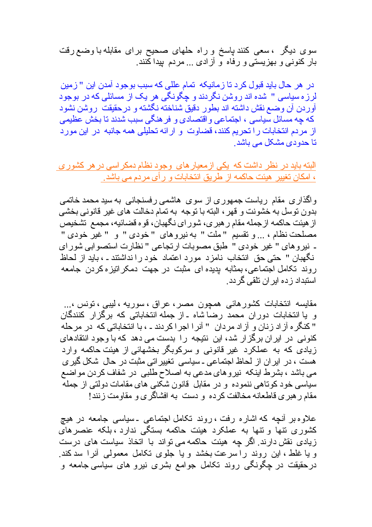سوی دیگر ، سعی کنند باسخ و راه حلهای صحیح برای مقابله با وضع رقت بار کنونی و بهزیستی و رفاه و آزادی ... مردم بیدا کنند.

در هر حال بابد قبول کر د تا ز مانیکه اتمام عللی که سبب بوجواد آمدن این " ز مین لرز ه سیاسی " شده اند روشن نگردند و چگونگی هر یک از مسائلی که در بوجود آوردن آن وصمع نقش داشته اند بطور دقیق شناخته نگشته و درحقیقت بروشن نشود که چه مسائل سیاسی ، اجتماعی و اقتصادی و فر هنگی سبب شدند تا بخش عظیمی از مردم انتخابات را تحریم کنند، قضاوت و ارائه تحلیلی همه جانبه در این مورد تا حدو د*ی* مشکل مے باشد ِ

البته باید در نظر داشت که یکی ازمعیار های وجود نظام دمکر اسی در هر کشور ی ، امکان تغییر ِ هیئت حاکمه از طریق انتخابات و ر أي مردم مي باشد ِ

واگذاری مقام ریاست جمهوری از سوی هاشمی رفسنجانی به سید محمد خاتمی بدون نوسل به خشونت و قهر ، البنه با نوجه به نمام دخالت های غیر قانونی بخشی از هیئت حاکمه از جمله مقام ر هبر ی، شو ر ای نگهبان، قو ه قضائیه، مجمع ِ تشخیص مصلحت نظام ، ... و نقسیم "ملت " به نیروهای "خودی " و " غیر خودی " ـ نيروهاي " غير خودي " طبق مصوبات ارتجاعي " نظارت استصوابي شوراي نگهبان " حتى حق انتخاب نامزد مورد اعتماد خود رانداشتند ـ ، بايد از لحاظ روند نکامل اجتماعی، بمثابه بدیده ای مثبت در جهت دمکر انیز ه کردن جامعه استبداد ز ده ابر ان تلقی گر دد ِ

مقايسه انتخابات كشور هائي همچون مصر ، عراق ، سوريه ، ليبي ، تونس ،... و یا انتخابات دوران محمد رضا شاه ـ از جمله انتخاباتی که برگزار کنندگان " كنگر ه آز اد زنان و آز اد مردان " آنر ا اجر ا كردند ـ ، با انتخاباتي كه در مرحله کنونے ِ در ابر ان بر گز ار شد، ابن نتیجه را بدست مے دهد که با وجود انتقادهای زیادی که به عملکرد غیر قانونی و سرکوبگر بخشهائی از هیئت حاکمه وارد هست ، در ایر ان از لحاظ اجتماعی ـ سیاسی تغییر اتی مثبت در حال شکل گیر ی می باشد ، بشرط اینکه نیروهای مدعی به اصلاح طلبی در شفاف کردن مواضع سیاسی خود کوناهی ننموده و در مقابل قانون شکنی های مقامات دولتی از جمله مقام ر هبر ي قاطعانه مخالفت كرده و دست به افشاگري و مقاومت زنند!

علاوه بر أنچه كه اشاره رفت ، روند تكامل اجتماعي ـ سياسي جامعه در هيچ کشوری نتها و نتها به عملکرد هیئت حاکمه بستگی ندارد ، بلکه عنصرهای زیادی نقش دارند. اگر چه هیئت حاکمه می تواند با اتخاذ سیاست های درست و یا غلط ، این روند را سرعت بخشد و یا جلوی تکامل معمولی آنرا سدکند. درحقیقت در چگونگی روند تکامل جوامع بشری نیرو های سیاسی جامعه و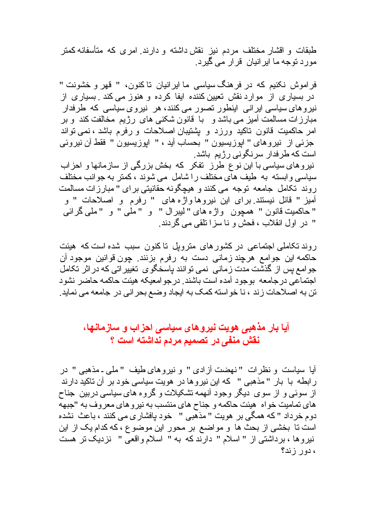طبقات و اقشار مختلف مردم نیز نقش داشته و دارند امری که متأسفانه کمتر مور د نوجه ما اپر انیان قرار می گیر د.

فر اموش نکنبم که در فر هنگ سباسی ما ابر انبان تا کنون، " قهر و خشونت " در بسیاری از موارد نقش تعیین کننده ایفا کرده و هنوز می کند . بسیاری از نیروهای سیاسی ایرانی اینطور نصور می کنند، هر نیروی سیاسی که طرفدار مبارز ات مسالمت آمیز می باشد و لبا قانون شکنی های رژیم مخالفت کند و بر امر حاکمیت قانون ناکید ورزد و پشتیبان اصلاحات و رفرم باشد ، نمی نواند جزئي از نيروهاي " ابوزيسيون " بحساب أيد ، " ابوزيسيون " فقط أن نيروئي است که طرفدار سرنگون*ی ر*ژیم باشد.

نیروهای سیاسی با این نوع طرز تفکر که بخش بزرگی از سازمانها و احزاب سیاسی و ابسته به طیف های مختلف را شامل می شوند ، کمتر به جوانب مختلف روند تكامل جامعه توجه مي كنند و هيچگونه حقانيتي براي "مبارزات مسالمت آمیز " قائل نیستند برای این نیروهاواژه های " رفرم و اصلاحات " و " حاكميت قانون " همچون واژ ه هاي " ليبر ال " و " ملٰي " و " ملي گر ائي " در اول انقلاب ، فحش و نا سز ا تلقی می گر دند ِ

ر وند تکاملی اجتماعی در کشور های متروبل تاکنون سبب شده است که هیئت حاكمه اين جوامع هرچند زماني دست به رفرم بزنند. چون قوانين موجود آن جو امع بس از گذشت مدت ز مانی ِ نمی نو انند باسخگو ی ِ نغییر اتی که در اثر ِ نکامل اجتماعي درجامعه بوجود أمده است باشند. درجو امعيكه هيئت حاكمه حاضر نشود تن به اصلاحات زند ، نا خواسته كمك به ايجاد وضع بحر اني در جامعه مي نمايد ِ

## آیا بار مذهب*ی* هویت نیروهای سیا*سی* احزاب و سازمانها، نقش منفى در تصميم مردم نداشته است ؟

آيا سياست و نظرات "نهضت آزادي " و نيروهاي طيف "ملي ـ مذهبي " در ر ابطه با بار "مذهبی " که این نیروها در هویت سیاسی خود بر آن تاکید دارند از سوئے و از سوی دیگر وجود آنھمه تشکیلات و گروہ های سیاسی دربین جناح های تمامیت خو اه هیئت حاکمه و جناح های منتسب به نیر و های معر و ف به "جبهه دوم خرداد " که همگی بر هویت " مذهّبی " خود پافشار ی می کنند ، باعث نشده است نا بخشی از بحث ها و مواضع بر محور این موضوع ، که کدام یک از این نیروها ، برداشتی از " اسلام " دارند که به " اسلام واقعی " نزدیک نر هست ، دور زند؟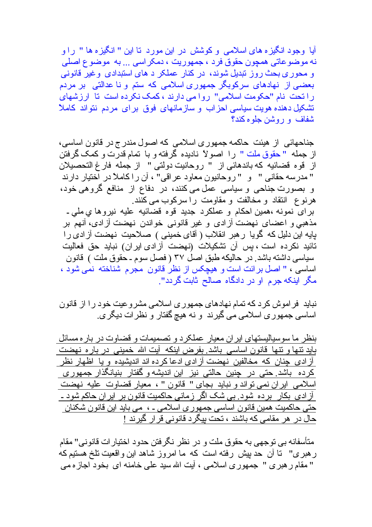آیا وجود انگیز ه های اسلامی و کوشش در این مورد تا این " انگیز ه ها " راو نه موضوعاتی همچون حقوق فرد ، جمهوریت ، دمکر اسی ... به موضوع اصلی و محوری بحث روز تبدیل شوند، در کنار عملکر د های استبدادی وغیر قانونی بعضی از نهادهای سرکوبگر جمهوری اسلامی که ستم و نا عدالتی بر مردم راتحت نام "حکومت اسلامی" روامی دارند ، کمک نکرده است تا ارزشهای تشکیل دهنده هویت سیاسی احزاب و سازمانهای فوق برای مردم نتواند کاملأ شفاف و روشن جلو ه کند؟

جناحهائی از هیئت حاکمه جمهوری اسلامی که اصول مندرج در قانون اساسی، از جمله " حقوق ملت " را اصولاً ناديده گرفته و با تمام قدرت و كمك گرفتن از قوه قضائيه كه باندهائي از " روحانيت دولتي " از جمله فارغ التحصيلان " مدرسه حقاني " و " روحانيون معاود عراقي" ، أن را كاملأ در اختيار دارند و بصورت جناحی و سیاسی عمل می کنند، در دفاع از منافع گروهی خود، هرنوع انتقاد و مخالفت و مقاومت را سركوب مى كنند. برای نمونه ،همین احکام و عملکرد جدید قوه قضائیه علیه نیروها ی ملی ـ مذهبي و اعضاي نهضت آز ادي و غير قانوني خواندن نهضت آز ادي، آنهم بر بایه این دلیل که گویا رهبر انقلاب ( آقای خمینی ) صلاحیت نهضت آزادی را تائيد نكر ده است ، بس آن تشكيلات (نهضت آز ادى ابر ان) نبايد حق فعاليت سیاسی داشته باشد. در حالیکه طبق اصل ۳۷ ( فصل سوم ـ حقوق ملت ) قانون اساسی ، " اصل بر ائت است و هیچکس از نظر قانون مجرم شناخته نمی شود ، مگر اینکه جرم او در دادگاه صالح ثابت گردد".

نباید ِ فراموش کرد که تمام نهادهای جمهوری اسلامی مشروعیت خود را از قانون اساسی جمهوری اسلامی می گیرند و نه هیچ گفتار و نظرات دیگری ِ

بنظر ما سوسیالیستهای ایر ان معیار عملکرد و تصمیمات و قضاوت در بار ه مسائل باید نتها و نتها قانون اساسی باشد بفر ض اینکه آیت الله خمینی در بار ه نهضت آزادی چنان که مخالفین نهضت آزادی ادعاکرده اند اندیشیده و یا اظهار نظر کرده باشد حتی در چنین حالتی نیز این اندیشه و گفتار بنیانگذار جمهوری اسلامي ايران نمي نواند و نبايد بجاي " قانون " ، معيار قضاوت عليه نهضت <u>آز ادی بکار برده شود بی شک اگر زمانی حاکمیت قانون بر ایر ان حاکم شود ـ</u> حتی حاکمیت همین قانون اساسی جمهور ی اسلامی ـ ، می باید این قانون شکنان حال در هر مقامی که باشند ، تحت بیگر د قانونی قر ار گیرند !

متأسفانه بي نوجهي به حقوق ملت و در نظر نگرفتن حدود اختيار ات قانوني" مقام ر هبری'' نا أن حد بيش رفته است که ما امروز شاهد اين واقعيت نلخ هستيم که " مقام ر هبر ی " جمهور ی اسلامی ، آیت الله سید علی خامنه ای بخود اجاز ه می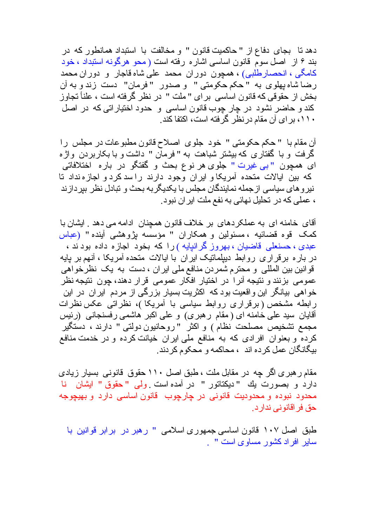دهد تا بجای دفاع از " حاکمیت قانون " و مخالفت با استبداد همانطور که در بند ۶ از اصل سوم قانون اساسی اشاره رفته است ( محو هرگونه استبداد ، خود كامگى ، انحصارطلبي) ، همچون دوران محمد على شاه قاجار و دوران محمد رضا شاه بهلوى به "حكم حكومتى " و صدور "فرمان" دست زندو به آن بخش از حقوقی که قانون اساسی برای "ملت " در نظر گرفته است ، علناً تجاوز کند و حاضر نشود در چار چوب قانون اساسی و حدود اختیار اتی که در اصل ۱۱۰، بر ای آن مقام در نظر گرفته است، اکتفا کند ِ

أن مقام با " حكم حكومتي " خود جلوى اصلاح قانون مطبوعات در مجلس را گرفت و با گفتاری که بیشتر شباهت به "فرمان " داشت و با بکاربردن واژه اي همچون "بي غيرت " جلوي هر نوع بحث و گفتگو در باره اختلافاتي كه بين ايالات متحده آمريكاو ايران وجود دارند راسد كردو اجازهنداد تا نیرو های سیاسی ازجمله نمایندگان مجلس با یکدیگربه بحث و تبادل نظر بیردازند ، عملی که در تحلیل نهائی به نفع ملت ایر ان نبود ِ

آقاي خامنه اي به عملكر دهاي بر خلاف قانون همجنان ادامه مي دهد . ايشان با كمك قوه قضائيه ، مسئولين و همكاران " مؤسسه بژوهشي آينده " (عباس عبدی ، حسنعلی قاضیان ، بهروز گرانیایه ) را که بخود اجازه داده بود ند ، در بار ه بر قر ار ی روابط دبیلماتیک ایر ان با ایالات متحده آمریکا ، آنهم بر بایه قوانین بین المللی و محترم شمردن منافع ملی ایران ، دست به یک نظرخواهی عمومي بزنند و نتيجه آنرا در اختيار افكار عمومي قرار دهند، جون نتيجه نظر خواهی بیانگر این واقعیت بود که اکثریت بسیار بزرگی از مردم ایران در این ر ابطه مشخص ( برقر ار ی روابط سیاسی با آمریکا )، نظر اتبی عکس نظر ات أقايان سيد على خامنه اى (مقام رهبرى) و على اكبر هاشمى رفسنجانى (رئيس مجمع تشخيص مصلحت نظام ) و اكثر "روحانيون دولتي " دارند ، دستگير کرده و بعنوان افرادی که به منافع ملی ایران خیانت کرده و در خدمت منافع بيگانگان عمل كرده اند ، محاكمه و محكوم كردند ِ

مقام ر هبر ی اگر جه در مقابل ملت ، طبق اصل ۱۱۰ حقوق قانونی بسیار زیادی دارد و بصورت يك "ديكتاتور " در آمده است ولى "حقوق " ايشان نا محدود نبوده و محدودیت قانونی در چارچوب قانون اساسی دارد و بهیچوجه حق فر اقانو نے ندار د ِ

طبق اصل ۱۰۷ قانون اساسی جمهوری اسلامی " رهبر در برابر قوانین با سایر افر اد کشو ر مساو ی است " ۱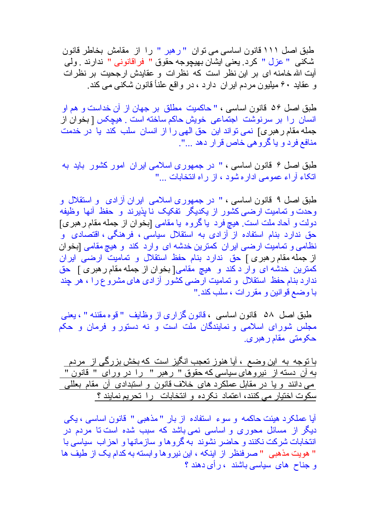طبق اصل ١١١ قانون اساسي مي نوان "رهبر " را از مقامش بخاطر قانون شكني " عزل " كرد ِ يعني ايشان بهيچوجه حقوق " فراقانوني " ندارند ِ ولي آیت الله خامنه ای بر این نظر است که نظر ات و عقایدش ار جحیت بر نظر ات و عقاید ۶۰ میلیون مردم ایر ان دارد ، در واقع علناً قانون شکنی می کند.

طبق اصل ۵۶ قانون اساسی ، " حاکمیت مطلق بر جهان از آن خداست و هم او انسان را بر سرنوشت اجتماعی خویش حاکم ساخته است . هیچکس [ بخوان از جمله مقام ر هبر ى] نمى تواند اين حق الهى را از انسان سلب كند يا در خدمت منافع فرد و یا گروهی خاص قرار دهد ...".

طبق اصل ۶ قانون اساسی ، " در جمهوری اسلامی ایران امور کشور باید به اتكاء آر اء عمومى اداره شود ، از راه انتخابات ..."

طبق اصل ۹ قانون اساسی ، " در جمهوری اسلامی ایران آزادی و استقلال و وحدت و تمامیت ارضی کشور از یکدیگر تفکیک نا پذیرند و حفظ آنها وظیفه دولت و آحاد ملت است ِ هيچ فرد يا گروه يا مقامي [بخوان از جمله مقام ر هبري] حق ندارد بنام استفاده از آزادی به استقلال سیاسی ، فرهنگی ، اقتصادی و نظامی و تمامیت ارضی ایر ان کمترین خدشه ای وارد کند و هیچ مقامی [بخوان از جمله مقام رهبری ] حق ندارد بنام حفظ استقلال و تمامیت ارضـی ایران كمترين خدشه اى وار دكند و هيچ مقامى[بخوان از جمله مقام رهبرى] حق ندارد بنام حفظ استقلال و تمامیت ارضی کشور آزاد*ی های م*شروع را ، هر چند با وضع قوانين و مقررات ، سلب كند."

طبق اصل ۵۸ قانون اساسی ، قانون گزاری از وظایف "قوه مقننه " ، یعنی مجلس شورای اسلامی و نمایندگان ملت است و نه دستور و فرمان و حکم حکومتی مقام ر هبر ی.

با نوجه به این وضع ، آیا هنوز تعجب انگیز است که بخش بزرگی از مردم \_ <u>به آن دسته از نیروهای سیاسی که حقوق " رهبر " را در ورای " قانون "</u> می دانند و یا در مقابل عملکرد های خلاف قانون و استبدادی آن مقام بعللی سکوت اختیار می کنند، اعتماد نکرده و انتخابات را تحریم نمایند ؟

أيا عملكرد هيئت حاكمه و سوء استفاده از بار " مذهبي " قانون اساسي ، يكي دیگر از مسائل محوری و اساسی نمی باشد که سبب شده است تا مردم در <mark>انتخابات شرکت نکنند و حاضر نشوند به گروها و سازمانها و احزاب سیاسی با</mark> " هويت مذهبي " صرفنظر از اينكه ، اين نيروها وابسته به كدام يك از طيف ها و جناح های سیاسی باشند ، رأی دهند ؟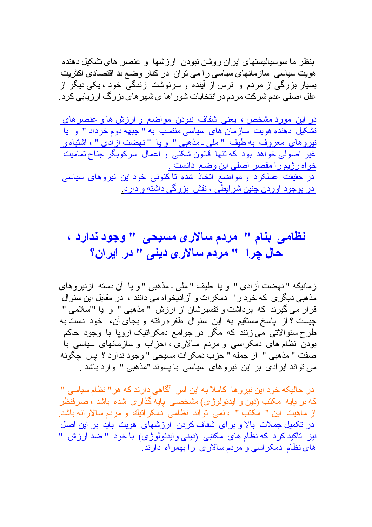بنظر ٍ ما سو سبالبستهای ابر ان روشن نبو دن ار ز شها و عنصر حمای نشکل دهنده هویت سیاسی سازمانهای سیاسی ر ۱ می توان در کنار وضع بد اقتصادی اکثریت بسیار بزرگی از مردم و ِ ترس از آینده و سرنوشت زندگی خود ، یکی دیگر از علل اصلی عدم شرکت مردم در انتخابات شور اها ی شهر های بزرگ ارزیابی کرد.

در این مورد مشخص ، یعنی شفاف نبودن مواضع و ارزش ها و عنصر های تشکیل دهنده هویت سازمان های سیاسی منتسب به " جبهه دوم خرداد " و یا نیروهای معروف به طیف "ملی۔مذهبی " و یا "نهضت آزادی "، اشتباه و غیر اصولی خواهد بود که نتها قانون شکنی و اعمال سرکوبگر جناح تمامیت خواه رژیم را مقصر اصلی این وضع دانست . <u>در حقیقت عملکرد و مواضع اتخاذ شده تاکنونی خود این نیروهای سیاسی</u> در بوجود آوردن چنین شرایطی ، نقش بزرگی داشته و دارد

## نظامی بنام " مردم سالاری مسیحی " وجود ندارد ، حال چرا۔ " مردم سالار ی دینی " در ایران؟

ز مانيكه " نهضت آز ادى " و يا طيف " ملى ـ مذهبى " و يا آن دسته از نير و هاى مذهبی دیگر ی که خود را \_دمکر ات و آز ادیخو اه می دانند ، در مقابل این سئو ال قرار می گیرند که برداشت و نفسیرشان از ارزش "مذهبی " و با "اسلامی " چیست ؟ از پاسخ مستقیم به این سئوال طفره رفته و بجای آن، خود دست به طرح سئوالاتی می زنند که مگر در جوامع دمکر انیک اروپا با وجود حاکم بودن نظام های دمکر اسی و مردم سالاری ، احزاب و سازمانهای سیاسی با صفت " مذهبي " از جمله " حزب دمكرات مسيحي " وجود ندارد ؟ يس چگونه می نواند ایرادی بر این نیروهای سیاسی با پسوند "مذهبی " وارد باشد .

در حالیکه خود این نیروها کاملاً به این امر آگاهی دارند که هر " نظام سیاسی " که بر پایه مکتب (دین و ایدئولوژی) مشخصبی پایه گذاری شده باشد ، صرفنظر از ماهيت اين " مكتب " ، نمي تواند نظامي دمكر اتبِك و مردم سالار انه باشد. در تکمیل جملات بالا و بر ای شفاف کردن ارزشهای هویت باید بر این اصل نيز تاکيد کر د که نظام های مکتبی (دينی و ايدئو لو ژ ی) با خو د " ضد ار ز ش " های نظام دمکر اسی و مردم سالار ی رابهمر اه دارند.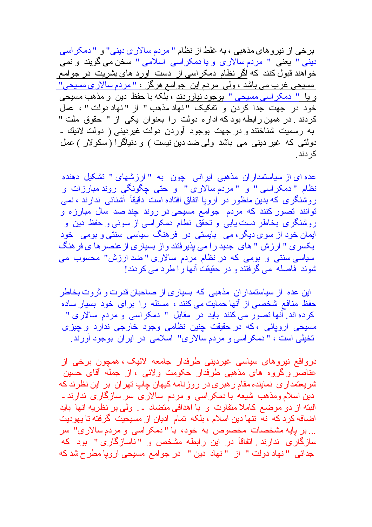بر خی از نیر و های مذهبی ، به غلط از نظام " مر دم سالار ی دینی" و " دمکر اسی دینی " یعنی " مردم سالاری و یا دمکر اسی اسلامی " سخن می گویند و نمی خواهند قبول کنند که اگر نظام دمکراسی از دست آورد های بشریت در جوامع مسیحی غرب می باشد ، ولی مردم این جوامع هرگز ، " مردم سالاری مسیحی" <u>و یا " دمکراسی مسیحی " بوجود نیاوردند</u> ، بلکه با حفظ دین و مذهب مسیحی خود در جهت جدا كردن و تفكيك "نهاد مذهب " از "نهاد دولت " ، عمل كردند ٍ در همين رابطه بود كه اداره دولت را بعنوان يكي از " حقوق ملت " به رسمیت شناختند و در جهت بوجود آوردن دولت غیردینی ( دولت لائیك ـ دولتی که غیر دینی می باشد ولی ضد دین نیست ) و دنیاگرا (سکولار ) عمل کر دند

عده ای از سیاستمدار ان مذهبی ایرانی چون به " ارزشهای " تشکیل دهنده نظام "دمکراسی" و "مردم سالاری" و حتی چگونگی روند مبارزات و روشنگری که بدین منظور در اروپا اتفاق افتاده است دقیقاً آشنائی ندارند ، نمی توانند تصور کنند که مردم جوامع مسیحی در روند چند صد سال مبارزه و روشنگری بخاطر دست یابی و تحقق نطام دمکراسی از سوئی و حفظ دین و ایمان خود از سوی دیگر ، می بایستی در فرهنگ سیاسی سنتی و بومی خود يكسرى " ارزش " هاى جديد را مى يذيرفتند واز بسيارى از عنصر ها ى فر هنگ سیاسی سنتی و بومی که در نظام مردم سالاری "ضد ارزش" محسوب می شوند فاصله می گرفتند و در حقیقت آنها را طرد می کردند!

این عده از سیاستمدار ان مذهبی که بسیاری از صاحبان قدرت و ثروت بخاطر حفظ منافع شخصی از آنها حمایت می کنند ، مسئله را برای خود بسیار ساده كرده اند. آنها تصور مى كنند بايد در مقابل " دمكر اسى و مردم سالارى " مسیحی اروپائی ،که در حقیقت چنین نظامی وجود خارجی ندارد و چیزی تخيلي است ، " دمكر اسي و مردم سالار ي" اسلامي در ايران بوجود آورند.

در واقع نير وهاي سياسي غير ديني طرفدار جامعه لائيک ، همچون برخي از عناصر و گروه های مذهبی طرفدار حکومت ولائی ، از جمله آقای حسین شریعتمداری نماینده مقام ر هبری در روزنامه کیهان چاپ تهران بر این نظرند که دین اسلام ومذهب شیعه با دمکر اسی و مردم سالاری سر سازگاری ندارند ـ البته از دو موضع کاملا متفاوت و با اهدافی متضاد ۔ و لی بر نظریه آنها باید اضافه كرد كه نه نتها دين اسلام ، بلكه تمام اديان از مسيحيت گرفته تا يهوديت ... بر یایه مشخصات مخصوص به خود، با "دمکراسی و مردم سالاری" سر سازگاری ندارند انفاقاً در این رابطه مشخص و "ناسازگاری" بود که جدائی " نهاد دولت " از " نهاد دین " در جوامع مسیحی اروپا مطرح شد که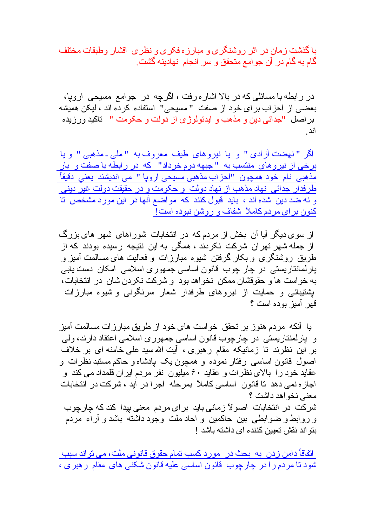با گذشت ز مان در اثر روشنگر ی و مبار ز ه فکر ی و نظر ی اقشار و طبقات مختلف گام به گام در آن جو امع متحقق و سر انجام نهادینه گشت ِ

در رابطه با مسائلی که در بالا اشار ه رفت ، اگرچه در جوامع مسیحی اروپا، بعضبي از احزاب براي خود از صفت "مسيحي" استفاده كرده اند ، ليكن هميشه بر اصل "جدائي دين و مذهب و ايدئولوژ ي از دولت و حكومت " تاكيد ورزيده اند

اگر "نهضت آزادی " و یا نیروهای طیف معروف به "ملی۔مذهبی " و یا <u>برخی از نیروهای منتسب به " جبهه دوم خرداد" که در رابطه با صفت و بار </u> مذهبی نام خود همچون "احزاب مذهبی مسیحی اروپا " می اندیشند یعنی دقیقآ طرفدار جدائی نهاد مذهب از نهاد دولت و حکومت و در حقیقت دولت غیر دین*ی* و نه ضد دین شده اند ، باید قبول کنند که مواضع آنها در این مورد مشخص تا کنون بر ای مر دم کاملاً شفاف و روشن نبوده است!

از سوی دیگر آیا آن بخش از مردم که در انتخابات شوراهای شهر های بزرگ از جمله شهر تهر ان شرکت نکر دند ، همگی به این نتیجه رسیده بودند که از طریق روشنگری و بکار گرفتن شیوه مبارزات و فعالیت های مسالمت آمیز و پارلمانتاریستی در چار چوب قانون اساسی جمهوری اسلامی امکان دست پابی به خواست ها و حقوقشان ممکن نخواهد بود و شرکت نکردن شان در انتخابات، بِشْتیبانی و حمایت از نیروهای طرفدار شعار سرنگونی و شیوه مبارزات قهر آمبز بوده است ؟

يا آنكه مر دم هنو ز بر تحقق خو است هاى خو د از طريق مبار ز ات مسالمت آميز و پارلمنتاریستی در چارچوب قانون اساسی جمهوری اسلامی اعتقاد دارند، ولی بر این نظرند تا زمانیکه مقام رهبری ، آیت اللهسید علی خامنه ای بر خلاف اصول قانون اساسی رفتار نموده و همچون یک پادشاه و حاکم مستبد نظرات و عقابد خود ر ۱ بالای نظر ات و عقابد ۶۰ میلیون نفر مردم ایر ان قلمداد مے کند و اجاز ه نمی دهد تا قانون اساسی کاملاً بمرحله اجرا در آید ، شرکت در انتخابات معنی نخو اهد داشت ؟ شرکت در انتخابات اصولاً زمانی باید برای مردم معنی بیدا کندکه چارچوب و روابط و ضوابطی بین حاکمین و احاد ملت وجود داشته باشد و آراء مردم بِنَو اند نقش تعبِين كننده اي داشته باشد !

اتفاقأ دامن زدن به بحث در مورد كسب تمام حقوق قانوني ملت، مي تواند سبب شود تا مر دم ر ا در جار جو ب قانو ن اساسی علبه قانو ن شکنی های مقام ر هبر ی ،